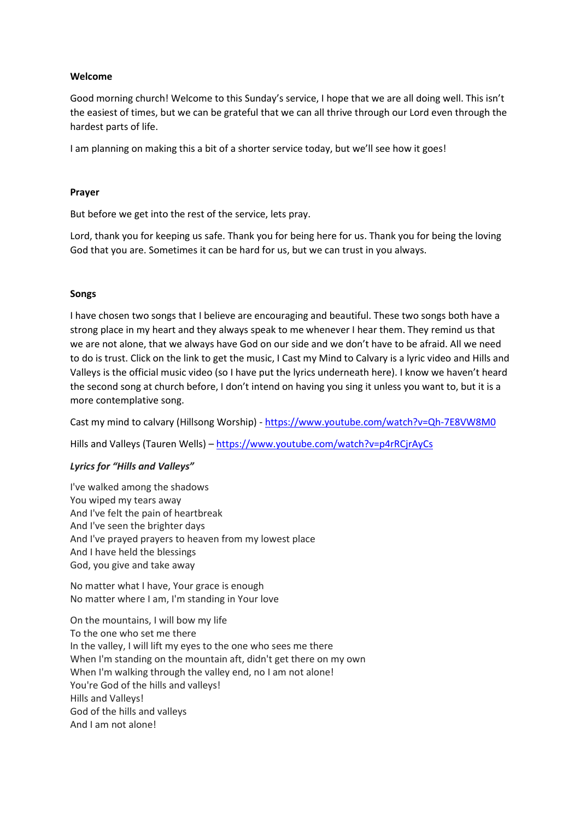# Welcome

Good morning church! Welcome to this Sunday's service, I hope that we are all doing well. This isn't the easiest of times, but we can be grateful that we can all thrive through our Lord even through the hardest parts of life.

I am planning on making this a bit of a shorter service today, but we'll see how it goes!

# Prayer

But before we get into the rest of the service, lets pray.

Lord, thank you for keeping us safe. Thank you for being here for us. Thank you for being the loving God that you are. Sometimes it can be hard for us, but we can trust in you always.

# Songs

I have chosen two songs that I believe are encouraging and beautiful. These two songs both have a strong place in my heart and they always speak to me whenever I hear them. They remind us that we are not alone, that we always have God on our side and we don't have to be afraid. All we need to do is trust. Click on the link to get the music, I Cast my Mind to Calvary is a lyric video and Hills and Valleys is the official music video (so I have put the lyrics underneath here). I know we haven't heard the second song at church before, I don't intend on having you sing it unless you want to, but it is a more contemplative song.

Cast my mind to calvary (Hillsong Worship) - https://www.youtube.com/watch?v=Qh-7E8VW8M0

Hills and Valleys (Tauren Wells) – https://www.youtube.com/watch?v=p4rRCjrAyCs

# Lyrics for "Hills and Valleys"

I've walked among the shadows You wiped my tears away And I've felt the pain of heartbreak And I've seen the brighter days And I've prayed prayers to heaven from my lowest place And I have held the blessings God, you give and take away

No matter what I have, Your grace is enough No matter where I am, I'm standing in Your love

On the mountains, I will bow my life To the one who set me there In the valley, I will lift my eyes to the one who sees me there When I'm standing on the mountain aft, didn't get there on my own When I'm walking through the valley end, no I am not alone! You're God of the hills and valleys! Hills and Valleys! God of the hills and valleys And I am not alone!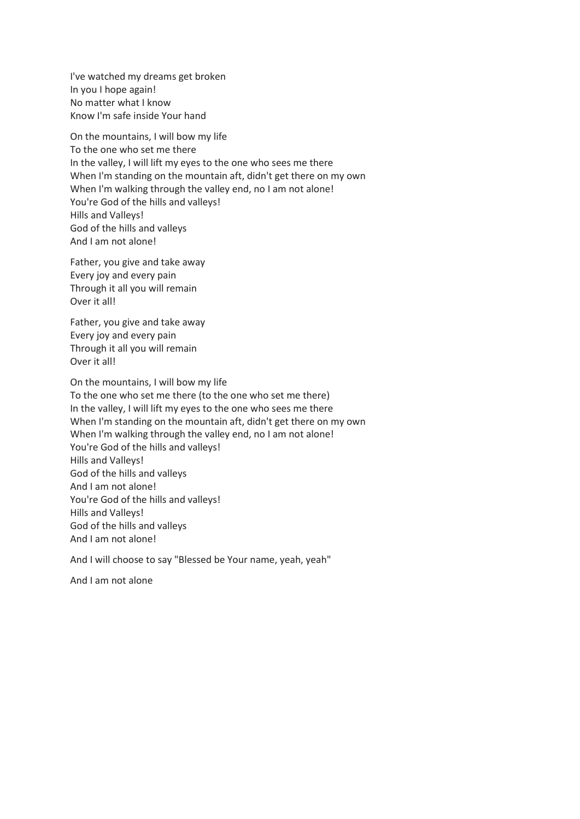I've watched my dreams get broken In you I hope again! No matter what I know Know I'm safe inside Your hand

On the mountains, I will bow my life To the one who set me there In the valley, I will lift my eyes to the one who sees me there When I'm standing on the mountain aft, didn't get there on my own When I'm walking through the valley end, no I am not alone! You're God of the hills and valleys! Hills and Valleys! God of the hills and valleys And I am not alone!

Father, you give and take away Every joy and every pain Through it all you will remain Over it all!

Father, you give and take away Every joy and every pain Through it all you will remain Over it all!

On the mountains, I will bow my life To the one who set me there (to the one who set me there) In the valley, I will lift my eyes to the one who sees me there When I'm standing on the mountain aft, didn't get there on my own When I'm walking through the valley end, no I am not alone! You're God of the hills and valleys! Hills and Valleys! God of the hills and valleys And I am not alone! You're God of the hills and valleys! Hills and Valleys! God of the hills and valleys And I am not alone!

And I will choose to say "Blessed be Your name, yeah, yeah"

And I am not alone